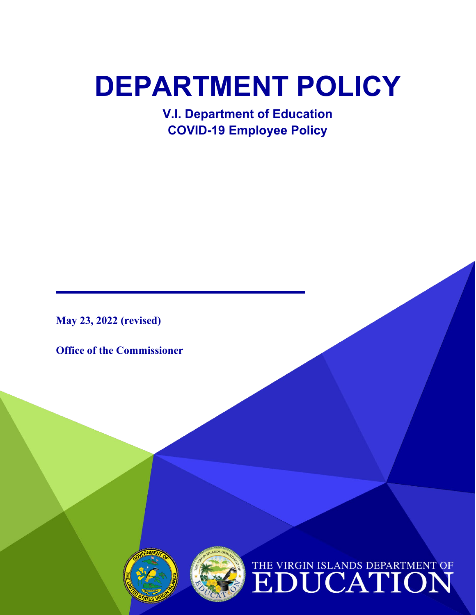# **DEPARTMENT POLICY**

**V.I. Department of Education COVID-19 Employee Policy**

**May 23, 2022 (revised)**

**Office of the Commissioner** 



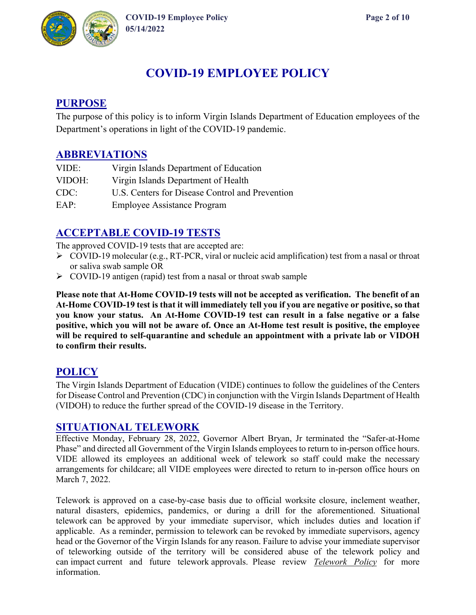

## **COVID-19 EMPLOYEE POLICY**

## **PURPOSE**

The purpose of this policy is to inform Virgin Islands Department of Education employees of the Department's operations in light of the COVID-19 pandemic.

## **ABBREVIATIONS**

| VIDE:  | Virgin Islands Department of Education          |
|--------|-------------------------------------------------|
| VIDOH: | Virgin Islands Department of Health             |
| CDC:   | U.S. Centers for Disease Control and Prevention |
| EAP:   | <b>Employee Assistance Program</b>              |

## **ACCEPTABLE COVID-19 TESTS**

The approved COVID-19 tests that are accepted are:

- $\triangleright$  COVID-19 molecular (e.g., RT-PCR, viral or nucleic acid amplification) test from a nasal or throat or saliva swab sample OR
- COVID-19 antigen (rapid) test from a nasal or throat swab sample

**Please note that At-Home COVID-19 tests will not be accepted as verification. The benefit of an At-Home COVID-19 test is that it will immediately tell you if you are negative or positive, so that you know your status. An At-Home COVID-19 test can result in a false negative or a false positive, which you will not be aware of. Once an At-Home test result is positive, the employee will be required to self-quarantine and schedule an appointment with a private lab or VIDOH to confirm their results.** 

#### **POLICY**

The Virgin Islands Department of Education (VIDE) continues to follow the guidelines of the Centers for Disease Control and Prevention (CDC) in conjunction with the Virgin Islands Department of Health (VIDOH) to reduce the further spread of the COVID-19 disease in the Territory.

#### **SITUATIONAL TELEWORK**

Effective Monday, February 28, 2022, Governor Albert Bryan, Jr terminated the "Safer-at-Home Phase" and directed all Government of the Virgin Islands employees to return to in-person office hours. VIDE allowed its employees an additional week of telework so staff could make the necessary arrangements for childcare; all VIDE employees were directed to return to in-person office hours on March 7, 2022.

Telework is approved on a case-by-case basis due to official worksite closure, inclement weather, natural disasters, epidemics, pandemics, or during a drill for the aforementioned. Situational telework can be approved by your immediate supervisor, which includes duties and location if applicable. As a reminder, permission to telework can be revoked by immediate supervisors, agency head or the Governor of the Virgin Islands for any reason. Failure to advise your immediate supervisor of teleworking outside of the territory will be considered abuse of the telework policy and can impact current and future telework approvals. Please review *Telework Policy* for more information.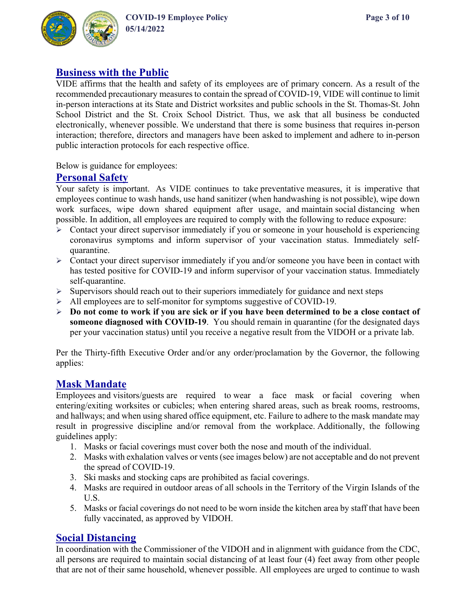

## **Business with the Public**

VIDE affirms that the health and safety of its employees are of primary concern. As a result of the recommended precautionary measures to contain the spread of COVID-19, VIDE will continue to limit in-person interactions at its State and District worksites and public schools in the St. Thomas-St. John School District and the St. Croix School District. Thus, we ask that all business be conducted electronically, whenever possible. We understand that there is some business that requires in-person interaction; therefore, directors and managers have been asked to implement and adhere to in-person public interaction protocols for each respective office.

Below is guidance for employees:

#### **Personal Safety**

Your safety is important. As VIDE continues to take preventative measures, it is imperative that employees continue to wash hands, use hand sanitizer (when handwashing is not possible), wipe down work surfaces, wipe down shared equipment after usage, and maintain social distancing when possible. In addition, all employees are required to comply with the following to reduce exposure:

- $\triangleright$  Contact your direct supervisor immediately if you or someone in your household is experiencing coronavirus symptoms and inform supervisor of your vaccination status. Immediately selfquarantine.
- $\triangleright$  Contact your direct supervisor immediately if you and/or someone you have been in contact with has tested positive for COVID-19 and inform supervisor of your vaccination status. Immediately self-quarantine.
- $\triangleright$  Supervisors should reach out to their superiors immediately for guidance and next steps
- All employees are to self-monitor for symptoms suggestive of COVID-19.
- **Do not come to work if you are sick or if you have been determined to be a close contact of someone diagnosed with COVID-19.** You should remain in quarantine (for the designated days per your vaccination status) until you receive a negative result from the VIDOH or a private lab.

Per the Thirty-fifth Executive Order and/or any order/proclamation by the Governor, the following applies:

## **Mask Mandate**

Employees and visitors/guests are required to wear a face mask or facial covering when entering/exiting worksites or cubicles; when entering shared areas, such as break rooms, restrooms, and hallways; and when using shared office equipment, etc. Failure to adhere to the mask mandate may result in progressive discipline and/or removal from the workplace. Additionally, the following guidelines apply:

- 1. Masks or facial coverings must cover both the nose and mouth of the individual.
- 2. Masks with exhalation valves or vents (see images below) are not acceptable and do not prevent the spread of COVID-19.
- 3. Ski masks and stocking caps are prohibited as facial coverings.
- 4. Masks are required in outdoor areas of all schools in the Territory of the Virgin Islands of the U.S.
- 5. Masks or facial coverings do not need to be worn inside the kitchen area by staff that have been fully vaccinated, as approved by VIDOH.

#### **Social Distancing**

In coordination with the Commissioner of the VIDOH and in alignment with guidance from the CDC, all persons are required to maintain social distancing of at least four (4) feet away from other people that are not of their same household, whenever possible. All employees are urged to continue to wash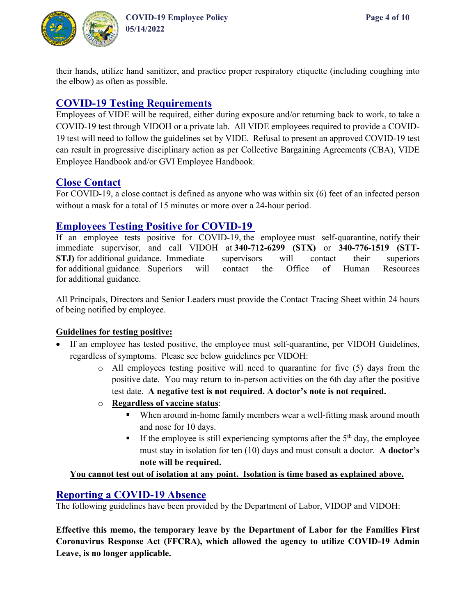

their hands, utilize hand sanitizer, and practice proper respiratory etiquette (including coughing into the elbow) as often as possible.

## **COVID-19 Testing Requirements**

Employees of VIDE will be required, either during exposure and/or returning back to work, to take a COVID-19 test through VIDOH or a private lab. All VIDE employees required to provide a COVID-19 test will need to follow the guidelines set by VIDE. Refusal to present an approved COVID-19 test can result in progressive disciplinary action as per Collective Bargaining Agreements (CBA), VIDE Employee Handbook and/or GVI Employee Handbook.

## **Close Contact**

For COVID-19, a [close](https://www.cdc.gov/coronavirus/2019-ncov/php/contact-tracing/contact-tracing-plan/appendix.html#contact) contact is defined as anyone who was within six (6) feet of an infected person without a mask for a total of 15 minutes or more over a 24-hour period.

## **Employees Testing Positive for COVID-19**

If an employee tests positive for COVID-19, the employee must self-quarantine, notify their immediate supervisor, and call VIDOH at **340-712-6299 (STX)** or **340-776-1519 (STT-STJ)** for additional guidance. Immediate supervisors will contact their superiors for additional guidance. Superiors will contact the Office of Human Resources for additional guidance.

All Principals, Directors and Senior Leaders must provide the Contact Tracing Sheet within 24 hours of being notified by employee.

#### **Guidelines for testing positive:**

- If an employee has tested positive, the employee must self-quarantine, per VIDOH Guidelines, regardless of symptoms. Please see below guidelines per VIDOH:
	- o All employees testing positive will need to quarantine for five (5) days from the positive date. You may return to in-person activities on the 6th day after the positive test date. **A negative test is not required. A doctor's note is not required.**
	- o **Regardless of vaccine status**:
		- When around in-home family members wear a well-fitting mask around mouth and nose for 10 days.
		- If the employee is still experiencing symptoms after the  $5<sup>th</sup>$  day, the employee must stay in isolation for ten (10) days and must consult a doctor. **A doctor's note will be required.**

#### **You cannot test out of isolation at any point. Isolation is time based as explained above.**

## **Reporting a COVID-19 Absence**

The following guidelines have been provided by the Department of Labor, VIDOP and VIDOH:

**Effective this memo, the temporary leave by the Department of Labor for the Families First Coronavirus Response Act (FFCRA), which allowed the agency to utilize COVID-19 Admin Leave, is no longer applicable.**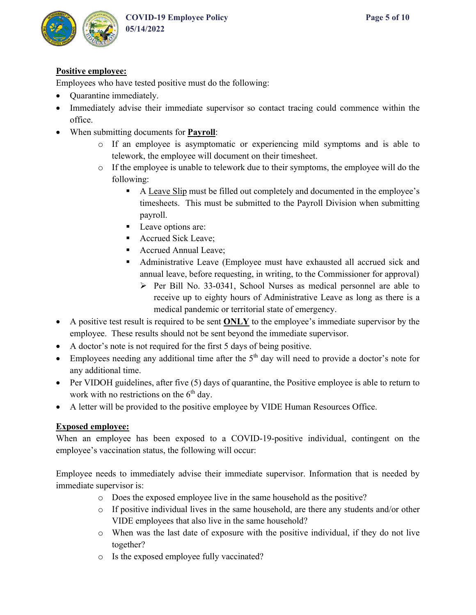

#### **Positive employee:**

Employees who have tested positive must do the following:

- Quarantine immediately.
- Immediately advise their immediate supervisor so contact tracing could commence within the office.
- When submitting documents for **Payroll**:
	- o If an employee is asymptomatic or experiencing mild symptoms and is able to telework, the employee will document on their timesheet.
	- o If the employee is unable to telework due to their symptoms, the employee will do the following:
		- A Leave Slip must be filled out completely and documented in the employee's timesheets. This must be submitted to the Payroll Division when submitting payroll.
		- **Leave options are:**
		- Accrued Sick Leave;
		- Accrued Annual Leave;
		- Administrative Leave (Employee must have exhausted all accrued sick and annual leave, before requesting, in writing, to the Commissioner for approval)
			- $\triangleright$  Per Bill No. 33-0341, School Nurses as medical personnel are able to receive up to eighty hours of Administrative Leave as long as there is a medical pandemic or territorial state of emergency.
- A positive test result is required to be sent **ONLY** to the employee's immediate supervisor by the employee. These results should not be sent beyond the immediate supervisor.
- A doctor's note is not required for the first 5 days of being positive.
- Employees needing any additional time after the  $5<sup>th</sup>$  day will need to provide a doctor's note for any additional time.
- Per VIDOH guidelines, after five (5) days of quarantine, the Positive employee is able to return to work with no restrictions on the  $6<sup>th</sup>$  day.
- A letter will be provided to the positive employee by VIDE Human Resources Office.

#### **Exposed employee:**

When an employee has been exposed to a COVID-19-positive individual, contingent on the employee's vaccination status, the following will occur:

Employee needs to immediately advise their immediate supervisor. Information that is needed by immediate supervisor is:

- o Does the exposed employee live in the same household as the positive?
- o If positive individual lives in the same household, are there any students and/or other VIDE employees that also live in the same household?
- o When was the last date of exposure with the positive individual, if they do not live together?
- o Is the exposed employee fully vaccinated?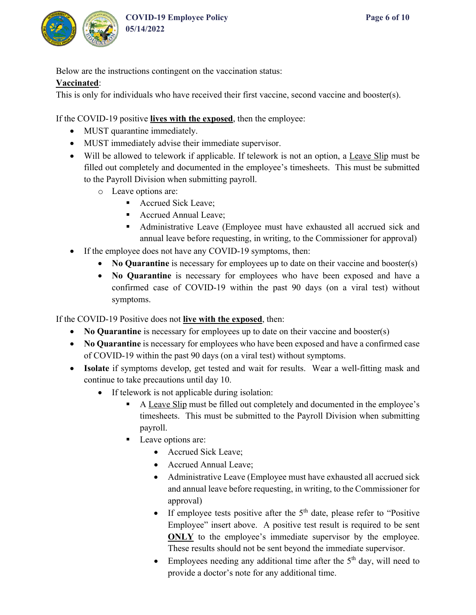

Below are the instructions contingent on the vaccination status:

#### **Vaccinated**:

This is only for individuals who have received their first vaccine, second vaccine and booster(s).

If the COVID-19 positive **lives with the exposed**, then the employee:

- MUST quarantine immediately.
- MUST immediately advise their immediate supervisor.
- Will be allowed to telework if applicable. If telework is not an option, a Leave Slip must be filled out completely and documented in the employee's timesheets. This must be submitted to the Payroll Division when submitting payroll.
	- o Leave options are:
		- Accrued Sick Leave;
		- Accrued Annual Leave:
		- Administrative Leave (Employee must have exhausted all accrued sick and annual leave before requesting, in writing, to the Commissioner for approval)
- If the employee does not have any COVID-19 symptoms, then:
	- **No Quarantine** is necessary for employees up to date on their vaccine and booster(s)
	- **No Quarantine** is necessary for employees who have been exposed and have a confirmed case of COVID-19 within the past 90 days (on a viral test) without symptoms.

If the COVID-19 Positive does not **live with the exposed**, then:

- **No Quarantine** is necessary for employees up to date on their vaccine and booster(s)
- No Quarantine is necessary for employees who have been exposed and have a confirmed case of COVID-19 within the past 90 days (on a viral test) without symptoms.
- **Isolate** if symptoms develop, get tested and wait for results. Wear a well-fitting mask and continue to take precautions until day 10.
	- If telework is not applicable during isolation:
		- A Leave Slip must be filled out completely and documented in the employee's timesheets. This must be submitted to the Payroll Division when submitting payroll.
		- Leave options are:
			- Accrued Sick Leave;
			- Accrued Annual Leave;
			- Administrative Leave (Employee must have exhausted all accrued sick and annual leave before requesting, in writing, to the Commissioner for approval)
			- If employee tests positive after the  $5<sup>th</sup>$  date, please refer to "Positive" Employee" insert above. A positive test result is required to be sent **ONLY** to the employee's immediate supervisor by the employee. These results should not be sent beyond the immediate supervisor.
			- Employees needing any additional time after the  $5<sup>th</sup>$  day, will need to provide a doctor's note for any additional time.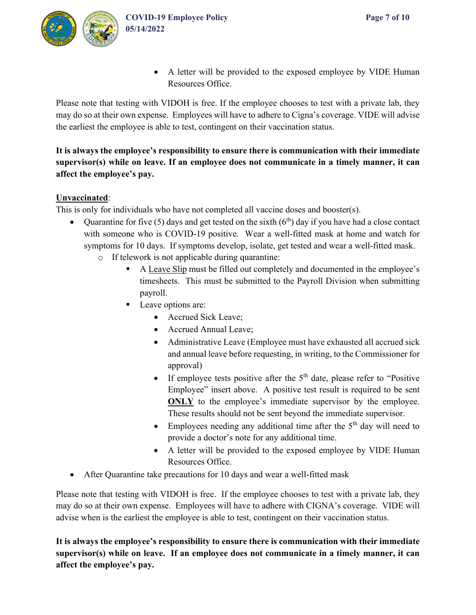

• A letter will be provided to the exposed employee by VIDE Human Resources Office.

Please note that testing with VIDOH is free. If the employee chooses to test with a private lab, they may do so at their own expense. Employees will have to adhere to Cigna's coverage. VIDE will advise the earliest the employee is able to test, contingent on their vaccination status.

## **It is always the employee's responsibility to ensure there is communication with their immediate supervisor(s) while on leave. If an employee does not communicate in a timely manner, it can affect the employee's pay.**

#### **Unvaccinated**:

This is only for individuals who have not completed all vaccine doses and booster(s).

- Quarantine for five (5) days and get tested on the sixth  $(6<sup>th</sup>)$  day if you have had a close contact with someone who is COVID-19 positive. Wear a well-fitted mask at home and watch for symptoms for 10 days. If symptoms develop, isolate, get tested and wear a well-fitted mask.
	- o If telework is not applicable during quarantine:
		- A Leave Slip must be filled out completely and documented in the employee's timesheets. This must be submitted to the Payroll Division when submitting payroll.
		- **Leave options are:** 
			- Accrued Sick Leave;
			- Accrued Annual Leave;
			- Administrative Leave (Employee must have exhausted all accrued sick and annual leave before requesting, in writing, to the Commissioner for approval)
			- If employee tests positive after the  $5<sup>th</sup>$  date, please refer to "Positive" Employee" insert above. A positive test result is required to be sent **ONLY** to the employee's immediate supervisor by the employee. These results should not be sent beyond the immediate supervisor.
			- Employees needing any additional time after the  $5<sup>th</sup>$  day will need to provide a doctor's note for any additional time.
			- A letter will be provided to the exposed employee by VIDE Human Resources Office.
- After Quarantine take precautions for 10 days and wear a well-fitted mask

Please note that testing with VIDOH is free. If the employee chooses to test with a private lab, they may do so at their own expense. Employees will have to adhere with CIGNA's coverage. VIDE will advise when is the earliest the employee is able to test, contingent on their vaccination status.

**It is always the employee's responsibility to ensure there is communication with their immediate supervisor(s) while on leave. If an employee does not communicate in a timely manner, it can affect the employee's pay.**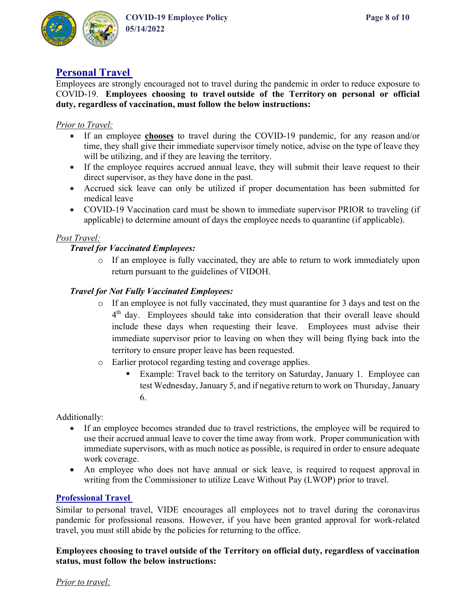

## **Personal Travel**

Employees are strongly encouraged not to travel during the pandemic in order to reduce exposure to COVID-19. **Employees choosing to travel outside of the Territory on personal or official duty, regardless of vaccination, must follow the below instructions:** 

#### *Prior to Travel:*

- If an employee **chooses** to travel during the COVID-19 pandemic, for any reason and/or time, they shall give their immediate supervisor timely notice, advise on the type of leave they will be utilizing, and if they are leaving the territory.
- If the employee requires accrued annual leave, they will submit their leave request to their direct supervisor, as they have done in the past.
- Accrued sick leave can only be utilized if proper documentation has been submitted for medical leave
- COVID-19 Vaccination card must be shown to immediate supervisor PRIOR to traveling (if applicable) to determine amount of days the employee needs to quarantine (if applicable).

#### *Post Travel:*

#### *Travel for Vaccinated Employees:*

o If an employee is fully vaccinated, they are able to return to work immediately upon return pursuant to the guidelines of VIDOH.

#### *Travel for Not Fully Vaccinated Employees:*

- o If an employee is not fully vaccinated, they must quarantine for 3 days and test on the 4<sup>th</sup> day. Employees should take into consideration that their overall leave should include these days when requesting their leave. Employees must advise their immediate supervisor prior to leaving on when they will being flying back into the territory to ensure proper leave has been requested.
- o Earlier protocol regarding testing and coverage applies.
	- Example: Travel back to the territory on Saturday, January 1. Employee can test Wednesday, January 5, and if negative return to work on Thursday, January 6.

Additionally:

- If an employee becomes stranded due to travel restrictions, the employee will be required to use their accrued annual leave to cover the time away from work. Proper communication with immediate supervisors, with as much notice as possible, is required in order to ensure adequate work coverage.
- An employee who does not have annual or sick leave, is required to request approval in writing from the Commissioner to utilize Leave Without Pay (LWOP) prior to travel.

#### **Professional Travel**

Similar to personal travel, VIDE encourages all employees not to travel during the coronavirus pandemic for professional reasons. However, if you have been granted approval for work-related travel, you must still abide by the policies for returning to the office.

**Employees choosing to travel outside of the Territory on official duty, regardless of vaccination status, must follow the below instructions:** 

*Prior to travel:*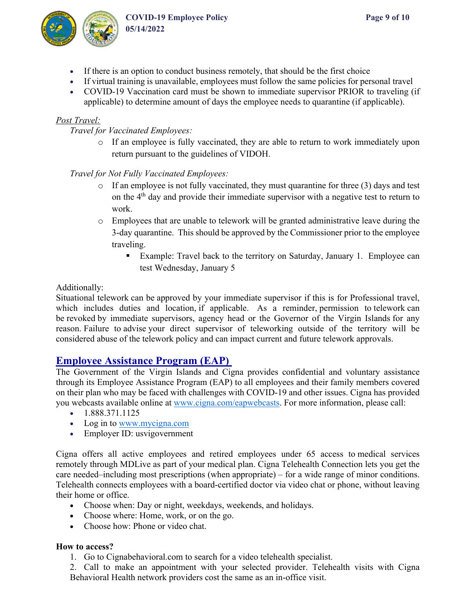

- If there is an option to conduct business remotely, that should be the first choice
- If virtual training is unavailable, employees must follow the same policies for personal travel
- COVID-19 Vaccination card must be shown to immediate supervisor PRIOR to traveling (if applicable) to determine amount of days the employee needs to quarantine (if applicable).

#### *Post Travel:*

*Travel for Vaccinated Employees:*

o If an employee is fully vaccinated, they are able to return to work immediately upon return pursuant to the guidelines of VIDOH.

*Travel for Not Fully Vaccinated Employees:* 

- o If an employee is not fully vaccinated, they must quarantine for three (3) days and test on the 4<sup>th</sup> day and provide their immediate supervisor with a negative test to return to work.
- o Employees that are unable to telework will be granted administrative leave during the 3-day quarantine. This should be approved by the Commissioner prior to the employee traveling.
	- Example: Travel back to the territory on Saturday, January 1. Employee can test Wednesday, January 5

#### Additionally:

Situational telework can be approved by your immediate supervisor if this is for Professional travel, which includes duties and location, if applicable. As a reminder, permission to telework can be revoked by immediate supervisors, agency head or the Governor of the Virgin Islands for any reason. Failure to advise your direct supervisor of teleworking outside of the territory will be considered abuse of the telework policy and can impact current and future telework approvals.

## **Employee Assistance Program (EAP)**

The Government of the Virgin Islands and Cigna provides confidential and voluntary assistance through its Employee Assistance Program (EAP) to all employees and their family members covered on their plan who may be faced with challenges with COVID-19 and other issues. Cigna has provided you webcasts available online at [www.cigna.com/eapwebcasts.](http://www.cigna.com/eapwebcasts) For more information, please call:

- $\bullet$  1.888.371.1125
- Log in to [www.mycigna.com](http://www.mycigna.com/)
- Employer ID: usvigovernment

Cigna offers all active employees and retired employees under 65 access to medical services remotely through MDLive as part of your medical plan. Cigna Telehealth Connection lets you get the care needed–including most prescriptions (when appropriate) – for a wide range of minor conditions. Telehealth connects employees with a board-certified doctor via video chat or phone, without leaving their home or office.

- Choose when: Day or night, weekdays, weekends, and holidays.
- Choose where: Home, work, or on the go.
- Choose how: Phone or video chat.

#### **How to access?**

1. Go to Cignabehavioral.com to search for a video telehealth specialist.

2. Call to make an appointment with your selected provider. Telehealth visits with Cigna Behavioral Health network providers cost the same as an in-office visit.